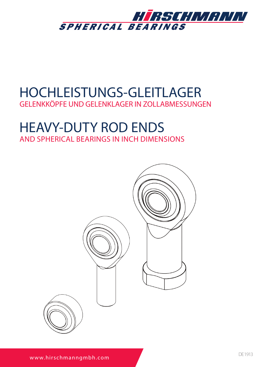

# HOCHLEISTUNGS-GLEITLAGER

GELENKKÖPFE UND GELENKLAGER IN ZOLLABMESSUNGEN

## HEAVY-DUTY ROD ENDS AND SPHERICAL BEARINGS IN INCH DIMENSIONS

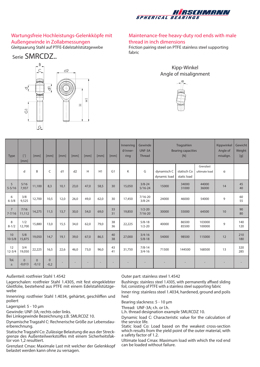

#### Wartungsfreie Hochleistungs-Gelenkköpfe mit Außengewinde in Zollabmessungen Gleitpaarung Stahl auf PTFE-Edelstahlstützgewebe

Serie SMRCDZ..



#### Maintenance-free heavy-duty rod ends with male thread in inch dimensions

Friction pairing steel on PTFE stainless steel supporting fabric





| Type                         | $\lceil$ "]<br>[mm]  | [mm]                | [mm]                   | [mm] | [mm] | [mm] | [mm] | [mm]           | Innenring<br>Ø Inner-<br>ring | Gewinde<br>UNF-3A<br><b>Thread</b> | Tragzahlen<br><b>Bearing capacities</b><br>[N] |                            | Kippwinkel<br>Angle of<br>misalign. | Gewicht<br>Weight<br>[g] |            |
|------------------------------|----------------------|---------------------|------------------------|------|------|------|------|----------------|-------------------------------|------------------------------------|------------------------------------------------|----------------------------|-------------------------------------|--------------------------|------------|
|                              | d                    | B                   | C                      | d1   | d2   | H    | H1   | G <sub>1</sub> | K                             | G                                  | dynamisch C<br>dynamic load                    | statisch Co<br>static load | Grenzlast<br>ultimate load          | α                        |            |
| 5<br>$5 - 5/16$              | 5/16<br>7,937        | 11,100              | 8.3                    | 10,1 | 23,0 | 47,0 | 58,5 | 30             | 15,050                        | $3/8 - 24$<br>$5/16 - 24$          | 15000                                          | 34000<br>31000             | 44000<br>36000                      | 14                       | 45<br>40   |
| 6<br>$6 - 3/8$               | 3/8<br>9,525         | 12,700              | 10.5                   | 12,0 | 26.0 | 49.0 | 62.0 | 30             | 17,450                        | $7/16 - 20$<br>$3/8 - 24$          | 24000                                          | 46000                      | 54000                               | 9                        | 60<br>55   |
| $\overline{7}$<br>$7 - 7/16$ | 7/16<br>11,112       | 14,275              | 11,5                   | 13,7 | 30,0 | 54,0 | 69.0 | 33<br>31       | 19,850                        | $1/2 - 20$<br>$7/16 - 20$          | 30000                                          | 55000                      | 64500                               | 10                       | 90<br>80   |
| 8<br>$8 - 1/2$               | 1/2<br>12,700        | 15,880              | 13,0                   | 15,5 | 34,0 | 62,0 | 79,0 | 38<br>36       | 22,225                        | $5/8 - 18$<br>$1/2 - 20$           | 40000                                          | 86500<br>85500             | 103000<br>100000                    | 9                        | 140<br>120 |
| 10<br>$10 - 5/8$             | 5/8<br>15,875        | 19,050              | 14,7                   | 19,1 | 39,0 | 67,0 | 86,5 | 40<br>38       | 27,000                        | $3/4 - 16$<br>$5/8 - 18$           | 54000                                          | 98500                      | 115000                              | 12                       | 210<br>180 |
| 12<br>$12 - 3/4$             | 3/4<br>19,050        | 22,225              | 16,5                   | 22,6 | 46.0 | 73,0 | 96.0 | 43<br>41       | 31,750                        | $7/8 - 14$<br>$3/4 - 16$           | 71500                                          | 144500                     | 168500                              | 13                       | 320<br>285 |
| Tol.<br>土                    | $\Omega$<br>$-0,013$ | $\Omega$<br>$-0,12$ | $\mathbf{0}$<br>$-0,2$ |      |      |      |      |                |                               |                                    |                                                |                            |                                     |                          |            |

Außenteil: rostfreier Stahl 1.4542

Lagerschalen: rostfreier Stahl 1.4305, mit fest eingeklebter Gleitfolie, bestehend aus PTFE mit einem Edelstahlstützgewebe

Innenring: rostfreier Stahl 1.4034, gehärtet, geschliffen und poliert

Lagerspiel: 5 - 10 μm

Gewinde: UNF-3A; rechts oder links.

Bei Linksgewinde Bezeichnung z.B. SMLRCDZ 10.

Dynamische Tragzahl C: Rechnerische Größe zur Lebensdau- erberechnung.

Statische Tragzahl Co: Zulässige Belastung die aus der Streckgrenze des Außenteilwerkstoffes mit einem Sicherheitsfaktor von 1,2 resultiert.

Grenzlast Cmax: Maximale Last mit welcher der Gelenkkopf belastet werden kann ohne zu versagen.

Outer part: stainless steel 1.4542

Bushings: stainless steel 1.4305, with permanently affixed sliding foil, consisting of PTFE with a stainless steel supporting fabric Inner ring: stainless steel 1.4034, hardened, ground and polis hed

Bearing slackness: 5 - 10 μm

Thread: UNF-3A; r.h. or l.h.

L.h. thread designation example SMLRCDZ 10.

Dynamic load C: Characteristic value for the calculation of the service life.

Static load Co: Load based on the weakest cross-section which results from the yield point of the outer material, with a safety factor of 1.2.

Ultimate load Cmax: Maximum load with which the rod end can be loaded without failure.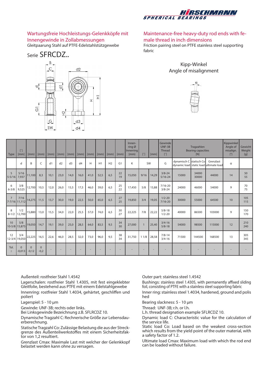

#### Wartungsfreie Hochleistungs-Gelenkköpfe mit Innengewinde in Zollabmessungen Gleitpaarung Stahl auf PTFE-Edelstahlstützgewebe





#### Maintenance-free heavy-duty rod ends with female thread in inch dimensions

Friction pairing steel on PTFE stainless steel supporting fabric





| Type                            | $\lceil$ "]<br>[mm]  | [mm]                | [mm]                  | [mm] | [mm] | $\lceil mm \rceil$ | [mm] | $\lceil mm \rceil$ | [mm] | [mm]           | [mm]           | Innen-<br>ring $\varnothing$<br>Innerring<br>$\text{Im}\,\mathrm{m}$ | $\lbrack\!\lbrack\;\rbrack\!\rbrack$ | [mm]  | Gewinde<br>$UNF-3B$<br>Thread<br>$\lbrack\!\lbrack\;\rbrack\!\rbrack$ | Tragzahlen<br><b>Bearing capacities</b><br>[N]                    |                | Kippwinkel<br>Angle of<br>misalign.<br>$[^{\circ}]$ | Gewicht<br>Weight<br>[g] |            |
|---------------------------------|----------------------|---------------------|-----------------------|------|------|--------------------|------|--------------------|------|----------------|----------------|----------------------------------------------------------------------|--------------------------------------|-------|-----------------------------------------------------------------------|-------------------------------------------------------------------|----------------|-----------------------------------------------------|--------------------------|------------|
|                                 | d                    | B                   | C                     | d1   | d2   | d <sub>3</sub>     | d4   | Н                  | H1   | H <sub>2</sub> | G <sub>1</sub> | K                                                                    |                                      | SW    | G                                                                     | dynamisch C statisch Co<br>dynamic load static load ultimate load |                | Grenzlast                                           | α                        |            |
| 5<br>$5 - 5/16$                 | 5/16<br>7,937        | 11,100              | 8,3                   | 10,1 | 23,0 | 14,0               | 16,0 | 41,0               | 52,5 | 6,5            | 22<br>19       | 15,050                                                               | 9/16                                 | 14,29 | $3/8 - 24$<br>$5/16 - 24$                                             | 15000                                                             | 34000<br>30000 | 44000                                               | 14                       | 50<br>55   |
| 6<br>$6 - 3/8$                  | 3/8<br>9,525         | 12,700              | 10,5                  | 12,0 | 26,0 | 15,5               | 17,5 | 46,0               | 59,0 | 6,5            | 25<br>22       | 17,450                                                               | 5/8                                  | 15,88 | $7/16 - 20$<br>$3/8 - 24$                                             | 24000                                                             | 46000          | 54000                                               | 9                        | 70<br>75   |
| $\overline{7}$<br>7-7/16 11,112 | 7/16                 | 14,275              | 11,5                  | 13,7 | 30,0 | 19,0               | 22,5 | 50,0               | 65,0 | 6,5            | 27<br>25       | 19,850                                                               | 3/4                                  | 19,05 | $1/2 - 20$<br>$7/16 - 20$                                             | 30000                                                             | 55000          | 64500                                               | 10                       | 105<br>115 |
| 8<br>$8 - 1/2$                  | 1/2<br>12,700        | 15,880              | 13,0                  | 15,5 | 34,0 | 22,0               | 25,5 | 57,0               | 74,0 | 6,5            | 30<br>27       | 22,225                                                               | 7/8                                  | 22,22 | $5/8 - 18$<br>$1/2 - 20$                                              | 40000                                                             | 86500          | 103000                                              | 9                        | 150<br>170 |
| 10                              | 5/8<br>10-5/8 15,875 | 19,050              | 14,7                  | 19,1 | 39,0 | 25,0               | 28,5 | 64,0               | 83,5 | 9,5            | 34<br>30       | 27,000                                                               |                                      | 25,40 | $3/4 - 16$<br>$5/8 - 18$                                              | 54000                                                             | 98500          | 115000                                              | 12                       | 210<br>240 |
| 12                              | 3/4<br>12-3/4 19,050 | 22,225              | 16,5                  | 22,6 | 46,0 | 28,5               | 32,0 | 73,0               | 96,0 | 9,5            | 38<br>34       | 31,750                                                               | 11/8                                 | 28,58 | $7/8 - 14$<br>$3/4 - 16$                                              | 71500                                                             | 144500         | 168500                                              | 13                       | 305<br>345 |
| Tol.<br>$\pm$                   | $\Omega$<br>$-0,013$ | $\Omega$<br>$-0,12$ | $\mathbf 0$<br>$-0,2$ |      |      |                    |      |                    |      |                |                |                                                                      |                                      |       |                                                                       |                                                                   |                |                                                     |                          |            |

Außenteil: rostfreier Stahl 1.4542

Lagerschalen: rostfreier Stahl 1.4305, mit fest eingeklebter Gleitfolie, bestehend aus PTFE mit einem Edelstahlgewebe Innenring: rostfreier Stahl 1.4034, gehärtet, geschliffen und poliert

Lagerspiel: 5 - 10 μm

Gewinde: UNF-3B; rechts oder links.

Bei Linksgewinde Bezeichnung z.B. SFLRCDZ 10.

Dynamische Tragzahl C: Rechnerische Größe zur Lebensdauerberechnung.

Statische Tragzahl Co: Zulässige Belastung die aus der Streck- grenze des Außenteilwerkstoffes mit einem Sicherheitsfak- tor von 1,2 resultiert.

Grenzlast Cmax: Maximale Last mit welcher der Gelenkkopf belastet werden kann ohne zu versagen.

Outer part: stainless steel 1.4542

Bushings: stainless steel 1.4305, with permanently affixed sliding foil, consisting of PTFE with a stainless steel supporting fabric

Inner ring: stainless steel 1.4034, hardened, ground and polis hed

Bearing slackness: 5 - 10 μm

Thread: UNF-3B; r.h. or l.h.

L.h. thread designation example SFLRCDZ 10.

Dynamic load C: Characteristic value for the calculation of the service life.

Static load Co: Load based on the weakest cross-section which results from the yield point of the outer material, with a safety factor of 1.2.

Ultimate load Cmax: Maximum load with which the rod end can be loaded without failure.